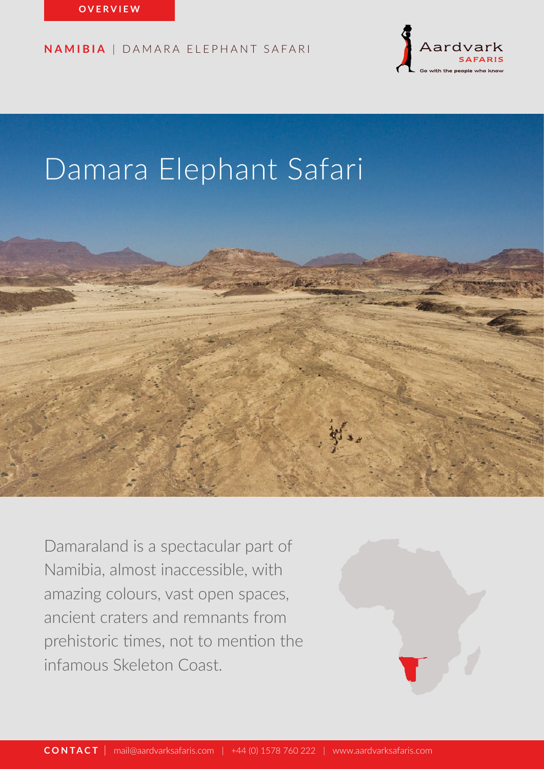

# Damara Elephant Safari



Damaraland is a spectacular part of Namibia, almost inaccessible, with amazing colours, vast open spaces, ancient craters and remnants from prehistoric times, not to mention the infamous Skeleton Coast.

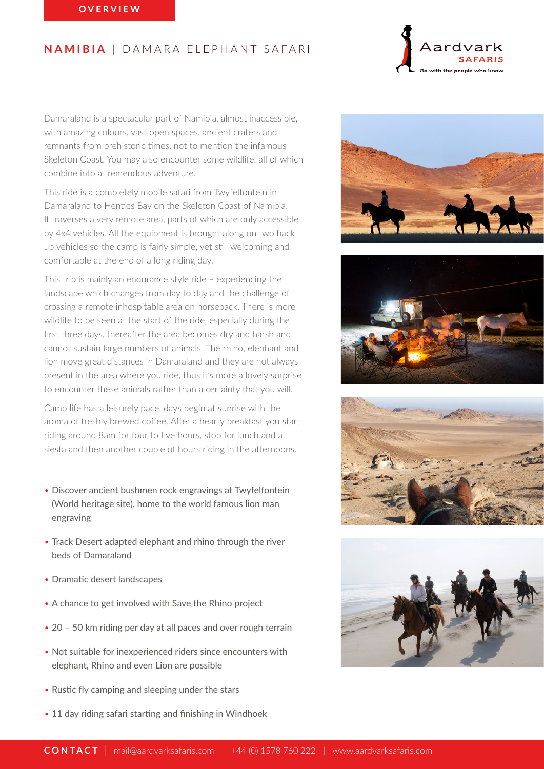

Damaraland is a spectacular part of Namibia, almost inaccessible, with amazing colours, vast open spaces, ancient craters and remnants from prehistoric times, not to mention the infamous Skeleton Coast. You may also encounter some wildlife, all of which combine into a tremendous adventure.

This ride is a completely mobile safari from Twyfelfontein in Damaraland to Henties Bay on the Skeleton Coast of Namibia. It traverses a very remote area, parts of which are only accessible by 4x4 vehicles. All the equipment is brought along on two back up vehicles so the camp is fairly simple, yet still welcoming and comfortable at the end of a long riding day.

This trip is mainly an endurance style ride – experiencing the landscape which changes from day to day and the challenge of crossing a remote inhospitable area on horseback. There is more wildlife to be seen at the start of the ride, especially during the first three days, thereafter the area becomes dry and harsh and cannot sustain large numbers of animals. The rhino, elephant and lion move great distances in Damaraland and they are not always present in the area where you ride, thus it's more a lovely surprise to encounter these animals rather than a certainty that you will.

Camp life has a leisurely pace, days begin at sunrise with the aroma of freshly brewed coffee. After a hearty breakfast you start riding around 8am for four to five hours, stop for lunch and a siesta and then another couple of hours riding in the afternoons.

- Discover ancient bushmen rock engravings at Twyfelfontein (World heritage site), home to the world famous lion man engraving
- Track Desert adapted elephant and rhino through the river beds of Damaraland
- Dramatic desert landscapes
- A chance to get involved with Save the Rhino project
- 20 50 km riding per day at all paces and over rough terrain
- Not suitable for inexperienced riders since encounters with elephant, Rhino and even Lion are possible
- Rustic fly camping and sleeping under the stars
- 11 day riding safari starting and finishing in Windhoek







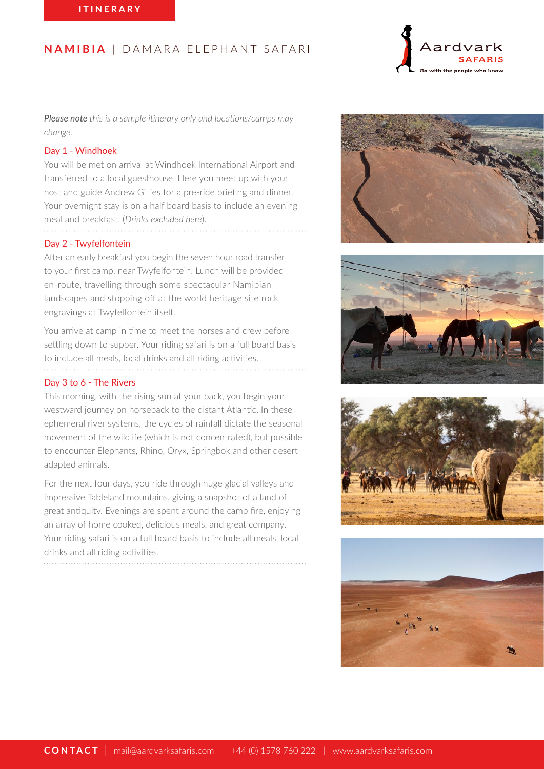

*Please note this is a sample itinerary only and locations/camps may change.*

#### Day 1 - Windhoek

You will be met on arrival at Windhoek International Airport and transferred to a local guesthouse. Here you meet up with your host and guide Andrew Gillies for a pre-ride briefing and dinner. Your overnight stay is on a half board basis to include an evening meal and breakfast. (*Drinks excluded here*).

#### Day 2 - Twyfelfontein

After an early breakfast you begin the seven hour road transfer to your first camp, near Twyfelfontein. Lunch will be provided en-route, travelling through some spectacular Namibian landscapes and stopping off at the world heritage site rock engravings at Twyfelfontein itself.

You arrive at camp in time to meet the horses and crew before settling down to supper. Your riding safari is on a full board basis to include all meals, local drinks and all riding activities.

#### Day 3 to 6 - The Rivers

This morning, with the rising sun at your back, you begin your westward journey on horseback to the distant Atlantic. In these ephemeral river systems, the cycles of rainfall dictate the seasonal movement of the wildlife (which is not concentrated), but possible to encounter Elephants, Rhino, Oryx, Springbok and other desertadapted animals.

For the next four days, you ride through huge glacial valleys and impressive Tableland mountains, giving a snapshot of a land of great antiquity. Evenings are spent around the camp fire, enjoying an array of home cooked, delicious meals, and great company. Your riding safari is on a full board basis to include all meals, local drinks and all riding activities.





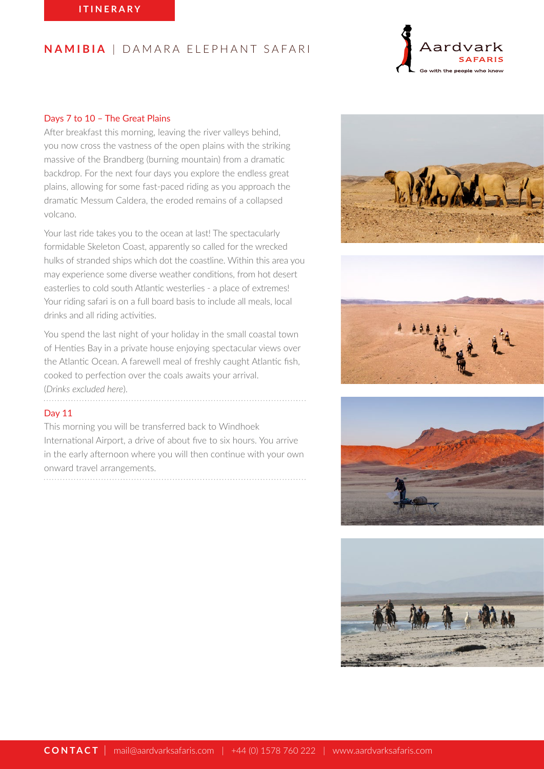

## Days 7 to 10 – The Great Plains

After breakfast this morning, leaving the river valleys behind, you now cross the vastness of the open plains with the striking massive of the Brandberg (burning mountain) from a dramatic backdrop. For the next four days you explore the endless great plains, allowing for some fast-paced riding as you approach the dramatic Messum Caldera, the eroded remains of a collapsed volcano.

Your last ride takes you to the ocean at last! The spectacularly formidable Skeleton Coast, apparently so called for the wrecked hulks of stranded ships which dot the coastline. Within this area you may experience some diverse weather conditions, from hot desert easterlies to cold south Atlantic westerlies - a place of extremes! Your riding safari is on a full board basis to include all meals, local drinks and all riding activities.

You spend the last night of your holiday in the small coastal town of Henties Bay in a private house enjoying spectacular views over the Atlantic Ocean. A farewell meal of freshly caught Atlantic fish, cooked to perfection over the coals awaits your arrival. (*Drinks excluded here*).

## Day 11

This morning you will be transferred back to Windhoek International Airport, a drive of about five to six hours. You arrive in the early afternoon where you will then continue with your own onward travel arrangements.







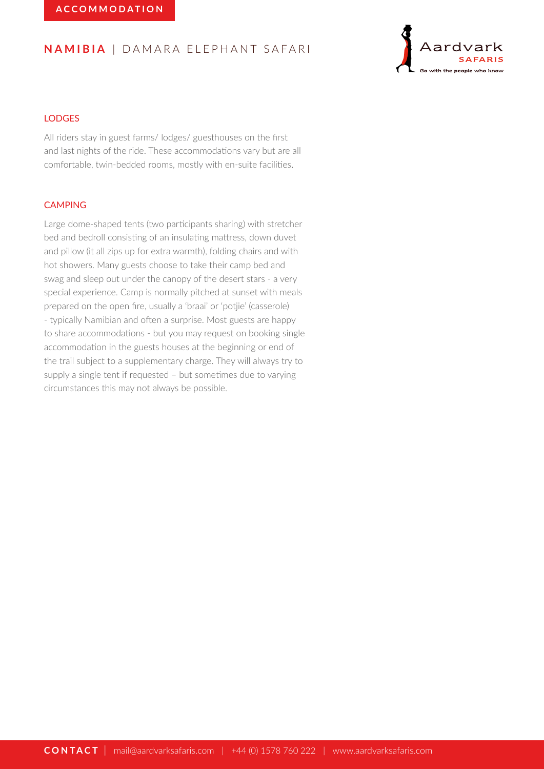

# **LODGES**

All riders stay in guest farms/ lodges/ guesthouses on the first and last nights of the ride. These accommodations vary but are all comfortable, twin-bedded rooms, mostly with en-suite facilities.

## CAMPING

Large dome-shaped tents (two participants sharing) with stretcher bed and bedroll consisting of an insulating mattress, down duvet and pillow (it all zips up for extra warmth), folding chairs and with hot showers. Many guests choose to take their camp bed and swag and sleep out under the canopy of the desert stars - a very special experience. Camp is normally pitched at sunset with meals prepared on the open fire, usually a 'braai' or 'potjie' (casserole) - typically Namibian and often a surprise. Most guests are happy to share accommodations - but you may request on booking single accommodation in the guests houses at the beginning or end of the trail subject to a supplementary charge. They will always try to supply a single tent if requested – but sometimes due to varying circumstances this may not always be possible.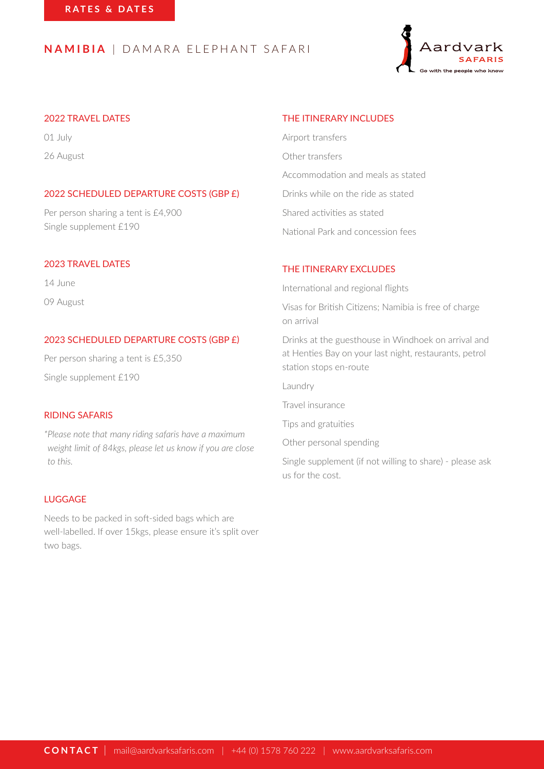

# 2022 TRAVEL DATES

01 July 26 August

# 2022 SCHEDULED DEPARTURE COSTS (GBP £)

Per person sharing a tent is £4,900 Single supplement £190

## 2023 TRAVEL DATES

14 June 09 August

# 2023 SCHEDULED DEPARTURE COSTS (GBP £)

Per person sharing a tent is £5,350 Single supplement £190

## RIDING SAFARIS

*\*Please note that many riding safaris have a maximum weight limit of 84kgs, please let us know if you are close to this.*

# LUGGAGE

Needs to be packed in soft-sided bags which are well-labelled. If over 15kgs, please ensure it's split over two bags.

# THE ITINERARY INCLUDES

Airport transfers Other transfers Accommodation and meals as stated Drinks while on the ride as stated Shared activities as stated National Park and concession fees

#### THE ITINERARY EXCLUDES

International and regional flights

- Visas for British Citizens; Namibia is free of charge on arrival
- Drinks at the guesthouse in Windhoek on arrival and at Henties Bay on your last night, restaurants, petrol station stops en-route

Laundry

Travel insurance

Tips and gratuities

Other personal spending

Single supplement (if not willing to share) - please ask us for the cost.